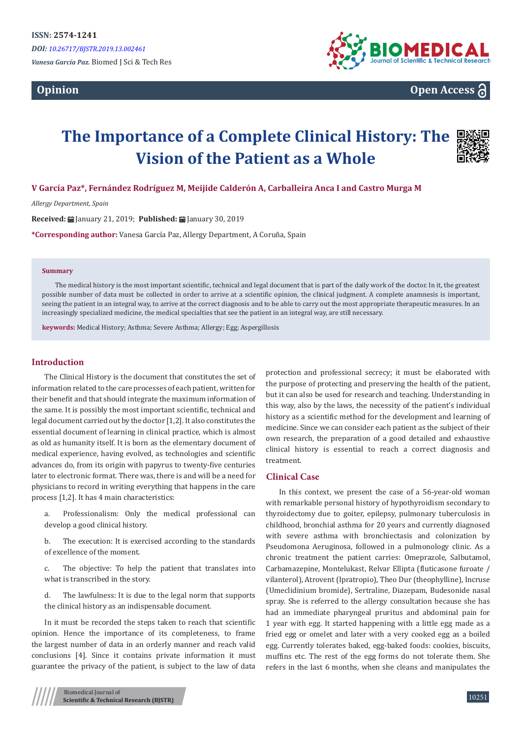# **Opinion**



**Open Access**

# **The Importance of a Complete Clinical History: The Vision of the Patient as a Whole**



**V García Paz\*, Fernández Rodríguez M, Meijide Calderón A, Carballeira Anca I and Castro Murga M**

*Allergy Department, Spain*

**Received:** January 21, 2019; **Published:** January 30, 2019

**\*Corresponding author:** Vanesa García Paz, Allergy Department, A Coruña, Spain

#### **Summary**

The medical history is the most important scientific, technical and legal document that is part of the daily work of the doctor. In it, the greatest possible number of data must be collected in order to arrive at a scientific opinion, the clinical judgment. A complete anamnesis is important, seeing the patient in an integral way, to arrive at the correct diagnosis and to be able to carry out the most appropriate therapeutic measures. In an increasingly specialized medicine, the medical specialties that see the patient in an integral way, are still necessary.

**keywords:** Medical History; Asthma; Severe Asthma; Allergy; Egg; Aspergillosis

## **Introduction**

The Clinical History is the document that constitutes the set of information related to the care processes of each patient, written for their benefit and that should integrate the maximum information of the same. It is possibly the most important scientific, technical and legal document carried out by the doctor [1,2]. It also constitutes the essential document of learning in clinical practice, which is almost as old as humanity itself. It is born as the elementary document of medical experience, having evolved, as technologies and scientific advances do, from its origin with papyrus to twenty-five centuries later to electronic format. There was, there is and will be a need for physicians to record in writing everything that happens in the care process [1,2]. It has 4 main characteristics:

a. Professionalism: Only the medical professional can develop a good clinical history.

b. The execution: It is exercised according to the standards of excellence of the moment.

c. The objective: To help the patient that translates into what is transcribed in the story.

d. The lawfulness: It is due to the legal norm that supports the clinical history as an indispensable document.

In it must be recorded the steps taken to reach that scientific opinion. Hence the importance of its completeness, to frame the largest number of data in an orderly manner and reach valid conclusions [4]. Since it contains private information it must guarantee the privacy of the patient, is subject to the law of data

Biomedical Journal of **Scientific & Technical Research (BJSTR)** protection and professional secrecy; it must be elaborated with the purpose of protecting and preserving the health of the patient, but it can also be used for research and teaching. Understanding in this way, also by the laws, the necessity of the patient's individual history as a scientific method for the development and learning of medicine. Since we can consider each patient as the subject of their own research, the preparation of a good detailed and exhaustive clinical history is essential to reach a correct diagnosis and treatment.

## **Clinical Case**

In this context, we present the case of a 56-year-old woman with remarkable personal history of hypothyroidism secondary to thyroidectomy due to goiter, epilepsy, pulmonary tuberculosis in childhood, bronchial asthma for 20 years and currently diagnosed with severe asthma with bronchiectasis and colonization by Pseudomona Aeruginosa, followed in a pulmonology clinic. As a chronic treatment the patient carries: Omeprazole, Salbutamol, Carbamazepine, Montelukast, Relvar Ellipta (fluticasone furoate / vilanterol), Atrovent (Ipratropio), Theo Dur (theophylline), Incruse (Umeclidinium bromide), Sertraline, Diazepam, Budesonide nasal spray. She is referred to the allergy consultation because she has had an immediate pharyngeal pruritus and abdominal pain for 1 year with egg. It started happening with a little egg made as a fried egg or omelet and later with a very cooked egg as a boiled egg. Currently tolerates baked, egg-baked foods: cookies, biscuits, muffins etc. The rest of the egg forms do not tolerate them. She refers in the last 6 months, when she cleans and manipulates the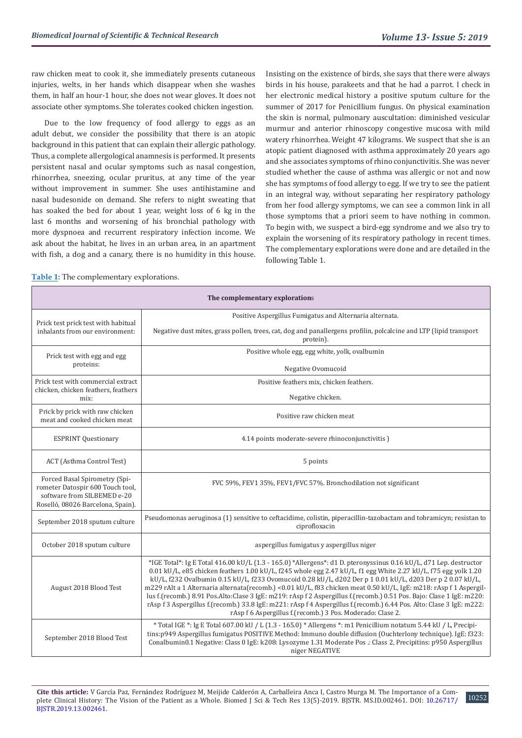raw chicken meat to cook it, she immediately presents cutaneous injuries, welts, in her hands which disappear when she washes them, in half an hour-1 hour, she does not wear gloves. It does not associate other symptoms. She tolerates cooked chicken ingestion.

Due to the low frequency of food allergy to eggs as an adult debut, we consider the possibility that there is an atopic background in this patient that can explain their allergic pathology. Thus, a complete allergological anamnesis is performed. It presents persistent nasal and ocular symptoms such as nasal congestion, rhinorrhea, sneezing, ocular pruritus, at any time of the year without improvement in summer. She uses antihistamine and nasal budesonide on demand. She refers to night sweating that has soaked the bed for about 1 year, weight loss of 6 kg in the last 6 months and worsening of his bronchial pathology with more dyspnoea and recurrent respiratory infection income. We ask about the habitat, he lives in an urban area, in an apartment with fish, a dog and a canary, there is no humidity in this house.

Insisting on the existence of birds, she says that there were always birds in his house, parakeets and that he had a parrot. I check in her electronic medical history a positive sputum culture for the summer of 2017 for Penicillium fungus. On physical examination the skin is normal, pulmonary auscultation: diminished vesicular murmur and anterior rhinoscopy congestive mucosa with mild watery rhinorrhea. Weight 47 kilograms. We suspect that she is an atopic patient diagnosed with asthma approximately 20 years ago and she associates symptoms of rhino conjunctivitis. She was never studied whether the cause of asthma was allergic or not and now she has symptoms of food allergy to egg. If we try to see the patient in an integral way, without separating her respiratory pathology from her food allergy symptoms, we can see a common link in all those symptoms that a priori seem to have nothing in common. To begin with, we suspect a bird-egg syndrome and we also try to explain the worsening of its respiratory pathology in recent times. The complementary explorations were done and are detailed in the following Table 1.

**Table 1:** The complementary explorations.

| The complementary explorations                                                                                                        |                                                                                                                                                                                                                                                                                                                                                                                                                                                                                                                                                                                                                                                                                                                                                                                     |
|---------------------------------------------------------------------------------------------------------------------------------------|-------------------------------------------------------------------------------------------------------------------------------------------------------------------------------------------------------------------------------------------------------------------------------------------------------------------------------------------------------------------------------------------------------------------------------------------------------------------------------------------------------------------------------------------------------------------------------------------------------------------------------------------------------------------------------------------------------------------------------------------------------------------------------------|
| Prick test prick test with habitual<br>inhalants from our environment:                                                                | Positive Aspergillus Fumigatus and Alternaria alternata.                                                                                                                                                                                                                                                                                                                                                                                                                                                                                                                                                                                                                                                                                                                            |
|                                                                                                                                       | Negative dust mites, grass pollen, trees, cat, dog and panallergens profilin, polcalcine and LTP (lipid transport<br>protein).                                                                                                                                                                                                                                                                                                                                                                                                                                                                                                                                                                                                                                                      |
| Prick test with egg and egg<br>proteins:                                                                                              | Positive whole egg, egg white, yolk, ovalbumin                                                                                                                                                                                                                                                                                                                                                                                                                                                                                                                                                                                                                                                                                                                                      |
|                                                                                                                                       | Negative Ovomucoid                                                                                                                                                                                                                                                                                                                                                                                                                                                                                                                                                                                                                                                                                                                                                                  |
| Prick test with commercial extract<br>chicken, chicken feathers, feathers<br>mix:                                                     | Positive feathers mix, chicken feathers.                                                                                                                                                                                                                                                                                                                                                                                                                                                                                                                                                                                                                                                                                                                                            |
|                                                                                                                                       | Negative chicken.                                                                                                                                                                                                                                                                                                                                                                                                                                                                                                                                                                                                                                                                                                                                                                   |
| Prick by prick with raw chicken<br>meat and cooked chicken meat.                                                                      | Positive raw chicken meat                                                                                                                                                                                                                                                                                                                                                                                                                                                                                                                                                                                                                                                                                                                                                           |
| <b>ESPRINT Questionary</b>                                                                                                            | 4.14 points moderate-severe rhinoconjunctivitis)                                                                                                                                                                                                                                                                                                                                                                                                                                                                                                                                                                                                                                                                                                                                    |
| ACT (Asthma Control Test)                                                                                                             | 5 points                                                                                                                                                                                                                                                                                                                                                                                                                                                                                                                                                                                                                                                                                                                                                                            |
| Forced Basal Spirometry (Spi-<br>rometer Datospir 600 Touch tool,<br>software from SILBEMED e-20<br>Roselló, 08026 Barcelona, Spain). | FVC 59%, FEV1 35%, FEV1/FVC 57%. Bronchodilation not significant                                                                                                                                                                                                                                                                                                                                                                                                                                                                                                                                                                                                                                                                                                                    |
| September 2018 sputum culture                                                                                                         | Pseudomonas aeruginosa (1) sensitive to ceftacidime, colistin, piperacillin-tazobactam and tobramicyn; resistan to<br>ciprofloxacin                                                                                                                                                                                                                                                                                                                                                                                                                                                                                                                                                                                                                                                 |
| October 2018 sputum culture                                                                                                           | aspergillus fumigatus y aspergillus niger                                                                                                                                                                                                                                                                                                                                                                                                                                                                                                                                                                                                                                                                                                                                           |
| August 2018 Blood Test                                                                                                                | *IGE Total*: Ig E Total 416.00 kU/L (1.3 - 165.0) *Allergens*: d1 D. pteronyssinus 0.16 kU/L, d71 Lep. destructor<br>0.01 kU/L, e85 chicken feathers 1.00 kU/L, f245 whole egg 2.47 kU/L, f1 egg White 2.27 kU/L, f75 egg yolk 1.20<br>kU/L, f232 Ovalbumin 0.15 kU/L, f233 Ovomucoid 0.28 kU/L, d202 Der p 1 0.01 kU/L, d203 Der p 2 0.07 kU/L,<br>m229 rAlt a 1 Alternaria alternata(recomb.) <0.01 kU/L, f83 chicken meat 0.50 kU/L, IgE: m218: rAsp f 1 Aspergil-<br>lus f.(recomb.) 8.91 Pos.Alto:Clase 3 IgE: m219: rAsp f 2 Aspergillus f.(recomb.) 0.51 Pos. Bajo: Clase 1 IgE: m220:<br>rAsp f 3 Aspergillus f.(recomb.) 33.8 IgE: m221: rAsp f 4 Aspergillus f.(recomb.) 6.44 Pos. Alto: Clase 3 IgE: m222:<br>rAsp f 6 Aspergillus f.(recomb.) 3 Pos. Moderado: Clase 2. |
| September 2018 Blood Test                                                                                                             | * Total IGE *: Ig E Total 607.00 kU / L (1.3 - 165.0) * Allergens *: m1 Penicillium notatum 5.44 kU / L, Precipi-<br>tins:p949 Aspergillus fumigatus POSITIVE Method: Immuno double diffusion (Ouchterlony technique). IgE: f323:<br>Conalbumin0.1 Negative: Class 0 IgE: k208: Lysozyme 1.31 Moderate Pos .: Class 2, Precipitins: p950 Aspergillus<br>niger NEGATIVE                                                                                                                                                                                                                                                                                                                                                                                                              |

10252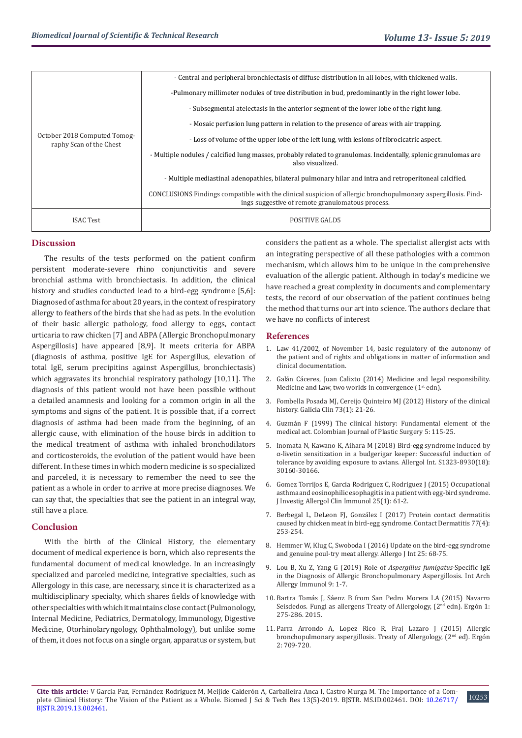| October 2018 Computed Tomog-<br>raphy Scan of the Chest | - Central and peripheral bronchiectasis of diffuse distribution in all lobes, with thickened walls.                                                               |
|---------------------------------------------------------|-------------------------------------------------------------------------------------------------------------------------------------------------------------------|
|                                                         | -Pulmonary millimeter nodules of tree distribution in bud, predominantly in the right lower lobe.                                                                 |
|                                                         | - Subsegmental atelectasis in the anterior segment of the lower lobe of the right lung.                                                                           |
|                                                         | - Mosaic perfusion lung pattern in relation to the presence of areas with air trapping.                                                                           |
|                                                         | - Loss of volume of the upper lobe of the left lung, with lesions of fibrocicatric aspect.                                                                        |
|                                                         | - Multiple nodules / calcified lung masses, probably related to granulomas. Incidentally, splenic granulomas are<br>also visualized.                              |
|                                                         | - Multiple mediastinal adenopathies, bilateral pulmonary hilar and intra and retroperitoneal calcified.                                                           |
|                                                         | CONCLUSIONS Findings compatible with the clinical suspicion of allergic bronchopulmonary aspergillosis. Find-<br>ings suggestive of remote granulomatous process. |
| <b>ISAC Test</b>                                        | <b>POSITIVE GALD5</b>                                                                                                                                             |

## **Discussion**

The results of the tests performed on the patient confirm persistent moderate-severe rhino conjunctivitis and severe bronchial asthma with bronchiectasis. In addition, the clinical history and studies conducted lead to a bird-egg syndrome [5,6]: Diagnosed of asthma for about 20 years, in the context of respiratory allergy to feathers of the birds that she had as pets. In the evolution of their basic allergic pathology, food allergy to eggs, contact urticaria to raw chicken [7] and ABPA (Allergic Bronchopulmonary Aspergillosis) have appeared [8,9]. It meets criteria for ABPA (diagnosis of asthma, positive IgE for Aspergillus, elevation of total IgE, serum precipitins against Aspergillus, bronchiectasis) which aggravates its bronchial respiratory pathology [10,11]. The diagnosis of this patient would not have been possible without a detailed anamnesis and looking for a common origin in all the symptoms and signs of the patient. It is possible that, if a correct diagnosis of asthma had been made from the beginning, of an allergic cause, with elimination of the house birds in addition to the medical treatment of asthma with inhaled bronchodilators and corticosteroids, the evolution of the patient would have been different. In these times in which modern medicine is so specialized and parceled, it is necessary to remember the need to see the patient as a whole in order to arrive at more precise diagnoses. We can say that, the specialties that see the patient in an integral way, still have a place.

#### **Conclusion**

With the birth of the Clinical History, the elementary document of medical experience is born, which also represents the fundamental document of medical knowledge. In an increasingly specialized and parceled medicine, integrative specialties, such as Allergology in this case, are necessary, since it is characterized as a multidisciplinary specialty, which shares fields of knowledge with other specialties with which it maintains close contact (Pulmonology, Internal Medicine, Pediatrics, Dermatology, Immunology, Digestive Medicine, Otorhinolaryngology, Ophthalmology), but unlike some of them, it does not focus on a single organ, apparatus or system, but considers the patient as a whole. The specialist allergist acts with an integrating perspective of all these pathologies with a common mechanism, which allows him to be unique in the comprehensive evaluation of the allergic patient. Although in today's medicine we have reached a great complexity in documents and complementary tests, the record of our observation of the patient continues being the method that turns our art into science. The authors declare that we have no conflicts of interest

#### **References**

- 1. Law 41/2002, of November 14, basic regulatory of the autonomy of the patient and of rights and obligations in matter of information and clinical documentation.
- 2. Galán Cáceres, Juan Calixto (2014) Medicine and legal responsibility. Medicine and Law, two worlds in convergence (1st edn).
- 3. Fombella Posada MJ, Cereijo Quinteiro MJ (2012) History of the clinical history. Galicia Clin 73(1): 21-26.
- 4. Guzmán F (1999) The clinical history: Fundamental element of the medical act. Colombian Journal of Plastic Surgery 5: 115-25.
- 5. Inomata N, Kawano K, Aihara M (2018) Bird-egg syndrome induced by α-livetin sensitization in a budgerigar keeper: Successful induction of tolerance by avoiding exposure to avians. Allergol Int. S1323-8930(18): 30160-30166.
- 6. Gomez Torrijos E, Garcia Rodriguez C, Rodriguez J (2015) Occupational asthma and eosinophilic esophagitis in a patient with egg-bird syndrome. J Investig Allergol Clin Immunol 25(1): 61-2.
- 7. Berbegal L, DeLeon FJ, González I (2017) Protein contact dermatitis caused by chicken meat in bird-egg syndrome. Contact Dermatitis 77(4): 253-254.
- 8. Hemmer W, Klug C, Swoboda I (2016) Update on the bird-egg syndrome and genuine poul-try meat allergy. Allergo J Int 25: 68-75.
- 9. Lou B, Xu Z, Yang G (2019) Role of *Aspergillus fumigatus*-Specific IgE in the Diagnosis of Allergic Bronchopulmonary Aspergillosis. Int Arch Allergy Immunol 9: 1-7.
- 10. Bartra Tomás J, Sáenz B from San Pedro Morera LA (2015) Navarro Seisdedos. Fungi as allergens Treaty of Allergology, (2<sup>nd</sup> edn). Ergón 1: 275-286. 2015.
- 11. Parra Arrondo A, Lopez Rico R, Fraj Lazaro J (2015) Allergic bronchopulmonary aspergillosis. Treaty of Allergology, (2<sup>nd</sup> ed). Ergón 2: 709-720.

10253